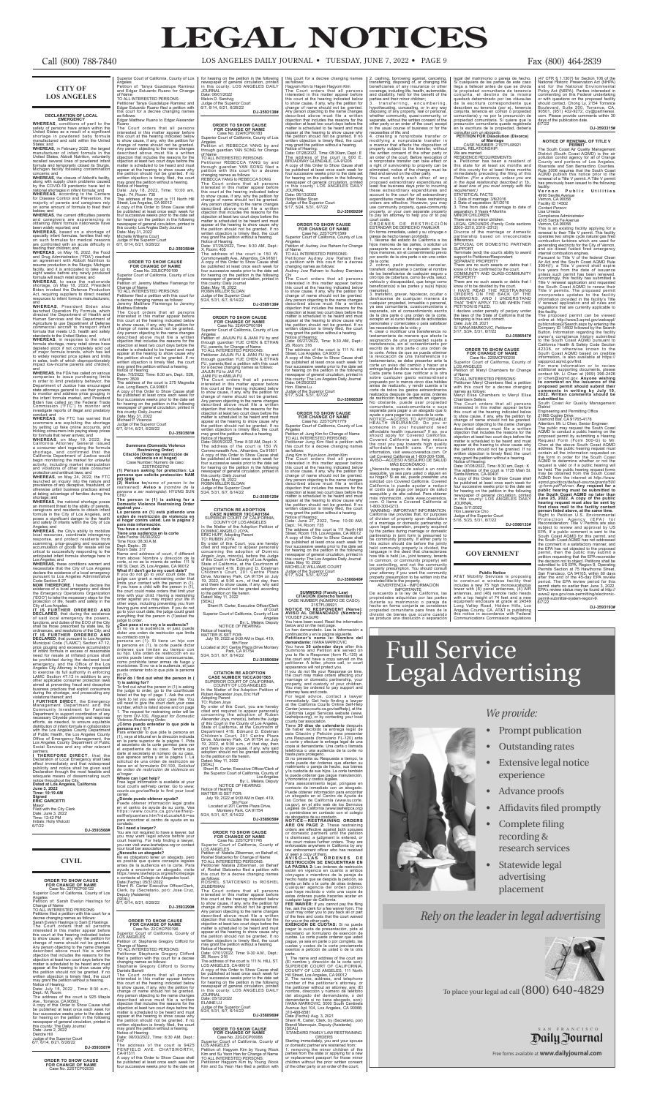#### **CITY OF LOS ANGELES**

### **DECLARATION OF LOCAL**

**EMERGENCY**<br> **EMEREAS**, conditions of peril to the safety of persons have arisen within the United States as a result of a significant shortage in powdered baby formula<br>
manufactured and sold within the United<br>
manufacture

States; and **WHEREAS**, in February 2022, the largest manufacturer of infant formula in the United States, Abbott Nutrition, voluntarily recalled several lines of powdered infant formula and temporarily closed its Sturgis, Michigan facility following contamination

been widely reported; and **WHEREAS**, based on a shortage of specialty infant formulas, families that rely on such formulas for medical reasons confronted with an acute difficulty in

feeding their children; and **WHEREAS**, on May 16, 2022, the Food and Drug Administration ("FDA") reached an agreement with Abbott Nutrition to resume production in the Sturgis, Michigan facility, and it is anticipated to take up to eight weeks before any newly produced<br>formula will reach retail stores; and

formula will reach retail stores; and<br>WHEREAS, to ease the nationwide<br>shortage, on May 18, 2022, President<br>Biden invoked the Defense Production<br>Act, requiring suppliers to direct needed<br>resources to infant formula manufact

concerns; and **WHEREAS**, the closure of Abbott's facility, along with supply chain problems caused by the COVID-19 pandemic have led to national shortages in infant formula; and **WHEREAS**, according to the Centers for Disease Control and Prevention, the majority of parents and caregivers rely on some amount of formula to feed their

babies; and **WHEREAS**, the current difficulties parents and caregivers are experiencing in obtaining infant formula nationwide have

standards to the United States; and<br>**WHEREAS**, in response to the infant<br>formula shortage, many retail stores have<br>depleted stock if not completely sold out<br>of major formula brands, which has led to widely reported price spikes and limits in sales, both of which disproportionately impact low-income parents and children;

and **WHEREAS**, the FDA has called on various companies to issue purchasing limits in order to limit predatory behavior, the Department of Justice has encouraged state attorneys general to use their powers<br>to monitor and address price gouging in<br>the infant formula market, and President<br>Biden has called on the Federal Trade<br>Commission ("FTC") to monitor and<br>investigate reports of il

conduct; and **WHEREAS**, the FTC has warned that scammers are exploiting the shortage<br>by setting up fake online accounts, and<br>tricking consumers into paying steep prices<br>for formula that never arrives; and<br>**WHEREAS**, on May 19, 2022, the

shortage; and **WHEREAS**, the national shortage poses an imminent threat to the ability of parents, caregivers and residents to obtain infant formula in the City of Los Angeles, and poses a significant danger to the health and safety of infants within the City of Los

and **WHEREAS**, President Biden also launched Operation Fly Formula, which directed the Department of Health and Human Services and the Department of Agriculture to use Department of Defense commercial aircraft to transport infant formula that meets U.S. health and safety

Management Department and the Community Investment for Families Department to support coordination of any necessary Citywide planning and response efforts, as needed, to ensure equitable distribution of infant formula in collaboration with the Los Angeles County Department<br>Office of Emergency Management, the<br>Los Angeles County Department of Public<br>Los Angeles County Department of Public<br>Social Services and any other relevant

California Attorney General issued a consumer alert regarding the formula shortage, and confirmed that the California Department of Justice would begin monitoring the market for unlawful activity, including market manipulation and violations of other state consumer

protection and antitrust laws; and **WHEREAS**, on May 24, 2022, the FTC launched an inquiry into the nature and prevalence of any deceptive, fraudulent, or otherwise unfair business practices aimed at taking advantage of families during this

Angeles; and **WHEREAS**, the City's ability to mobilize local resources, coordinate interagency response, and protect residents from scamming, price-gouging and excessive accumulation of goods for resale will be critical to successfully responding to the anticipated infant formula shortage here in Los Angeles; and **WHEREAS**, these conditions warrant and

TO ALL INTERESTED PERSONS: Petitioner Tanya Guadalupe Ramirez and Edgar Estuardo Ruano filed a petition with this court for a decree changing names as follows:<br>as follows:<br>Edgar Matthew Ruano to Edgar Alexander

Edgar Matthew Ruano to Edgar Alexander<br>
Edgar Matthew Ruano to Edgar Alexander<br>
The Court orders that all persons<br>
intersed in this matter appear before<br>
this court at the hearing indicated below<br>
to show cause, if any, wh

necessitate that the City of Los Angeles declare the existence of a local emergency pursuant to Los Angeles Administrative

Code Section 8.27. **NOW THEREFORE**, I hereby declare the existence of a local emergency and direct the Emergency Operations Organization ("EOO") to take the necessary steps for the protection of life, health and safety in the City of Los Angeles. **IT IS FURTHER ORDERED AND** 

**DECLARED**, that during the existence of said local emergency the powers, functions, and duties of the EOO of the City

shall be those prescribed by state law, by ordinances, and resolutions of the City; and **IT IS FURTHER ORDERED AND DECLARED**, that pursuant to Los Angeles<br>Municipal Code ("LAMC") Section 47.12, Municipal Code ("LAMC") Section 47.12,<br>price gouging and excessive accumulation<br>of infant formula in excess of reasonable<br>heed for resale at inflated prices shall<br>be prohibited during the declared local<br>emergency, and the other applicable consumer protection laws aimed at preventing fraud and deceptive business practices that exploit consumers during the shortage, and prosecuting any violations thereof; and **I FURTHER DIRECT**, the Emergency Room: 3500<br>The address of the court is 275 Magnolia<br>Ave, Long Beach, CA 90601<br>A copy of this Order to Show Cause shall<br>be published at least once each week for<br>four successive weeks prior to the date set<br>for hearing on the newspaper of general circulation, printed in this county: Daily Journal Date: May 31, 2022 Michael P. Vicencia

partners. **I THEREFORE DIRECT**, that the Declaration of Local Emergency shall take<br>effect immediately and that widespread<br>publicity and notice shall be given said<br>Declaration through the most feasible and<br>adequate means of disseminating such notice throughout the City. **Dated at Los Angeles, California June 3, 2022 Time: 10:19 AM Signed ERIC GARCETTI** Mayor Filed with the City Clerk Date: June 3, 2022 Time: 12:42 PM Initials: Holly Wolcott

en (1). **How do I find out what the person in ( 1) is asking for?**<br>**1) is asking for?**<br>To find out what the person in (1) is asking

To find out what the person in (1) is asking<br>the judge to order, go to the courthouse<br>listed at the top of page 1. Ask the court<br>clerk to let you see your case file. You lined to give the court clerk your case<br>number, whic

persona en ( 1) ?<br>Para entender lo que pide la persona en<br>(1), vaya al tribunal en la dirección indicada<br>en la parte superior de la página 1. Pida<br>al secretario de la corte permiso para ver el expediente de su caso. Tendrá que darle al secretario el número de su caso, que aparece arriba y en la página 1. La solicitud de una orden de restricción se hace en el formulario DV-100, *Solicitud de orden de restricción de violencia en el hogar*. SUPERIOR COURT OF CALIFORNIA,<br>COURTY OF LOS ANGELES<br>In the Matter of the Adoption Petition of<br>Ruben Alexandre Joya, Eric Huff<br>Adopting Parent<br>By order of this Court, you are hereby<br>cited and required to appear personally<br>c

**DJ-3593568#**

#### **CIVIL**

 $6/7/22$ 

# **ORDER TO SHOW CAUSE<br>FOR CHANGE OF NAME<br>Case No. 22TRCP00122<br>Superior Court of California, County of Los**

Angeles Petition of: Sarah Evelyn Hastings for

Change of Name<br>To ALL INTERESTED PERSONS:<br>To ALL INTERESTED PERSONS:<br>recitione filed a petition with this court for a<br>Sarah Evelyn Hastings to Sam E Hastings<br>The Court orders that all persons<br>interested in this matter appe

condado.<br>**Do I need a lawyer?**<br>You are not required to have a lawyer, but<br>you may want legal advice before your<br>court hearing. For help finding a lawyer,<br>you can visit *www.lawhelpca.org* or contact your local bar association.

**DJ-3593587#**

**ORDER TO SHOW CAUSE FOR CHANGE OF NAME** Case No. 22STCP02035

Superior Court of California, County of Los Angeles Petition of: Tanya Guadalupe Ramirez and Edgar Estuardo Ruano for Change of Name

> Commonwealth Ave., Alhambra, CA 91801 A copy of this Order to Show Cause shall be published at least once each week for four successive weeks prior to the date set<br>for hearing on the petition in the following<br>this county: Daily Journal<br>this county: Daily Journal<br>Date: May 18, 2022<br>ROBIN MILLER SLOAN

**ORDER TO SHOW CAUSE FOR CHANGE OF NAME**

Case No. 22LBCP00199 Superior Court of California, County of Los Angeles Petition of: Jeremy Matthew Fiamengo for

Change of Name<br>TO ALL INTERESTED PERSONS:

TO ALL INTERESTED PERSONS:<br>
TO ALL INTERESTED PERSONS:<br>
Petitioner filed a petition with this court for<br>
a decree changing names as follows:<br>
Jetermy Matthew Estrada<br>
The Court orders that all persons<br>
Interested in this m

Judge of the Superior Court<br>5/24, 5/31, 6/7, 6/14/22 **DJ-3589125#**

appear at the hearing to show cause why the petition should not be granted. If no written objection is timely filed, the court

may grant the petition without a hearing. Notice of Hearing: Date: 7/5/2022, Time: 8:30 am, Dept.: S26,

Judge of the Superior Court 6/7, 6/14, 6/21, 6/28/22 **DJ-3593581#**

**Summons (Domestic Violence Restraining Order)**<br> **Citación (Orden de restricción de**<br> **violencia en el hogar)**<br>
Case Number: Numero de caso:<br>
22STRO02742<br> **22STRO02742** 

# **(1) Person asking for protection: La persona que solicita protección: NAM HO SHIN**

**(2) Notice to***(name of person to be restrained)*: **Aviso a** *(nombre de la persona a ser restringida)*: HYUNG SUN CHU

**The person in (1) is asking for a Domestic Violence Restraining Order against you . La persona en (1) está pidiendo una orden de restricción de violencia en el hogar contra usted. Lea la página 2 para más información. You have a court date**

**Tiene una audiencia en la corte** Date Fecha: 06/30/2022 Time Hora: 08:30 A.M.

Dept. Depto.: 25 Room Sala: 317

Name and address of court, if different from<br>from above: Noust, if different conde, si no es la misma de arriba: 111 N<br>Hill St, Dept. 25, Los Angeles, CA 90012<br>What if I don't go to my court date?<br>If you do not go to your

Si no va a la audiencia, el juez puede dictar una orden de restricción que limita

su contacto con la<br>persona en (1). Si tiene un hijo con<br>la persona en (1), la corte puede dictar<br>órdenes que limitan su tiempo con<br>su hijo. Una orden de restricción en su<br>contra puede tener otras consecuencias,<br>como prohib

#### **Where can I get help?**

**SUMMONS (Family Law) CITACION (Derecho familiar)<br>CASE NUMBER (NÚMERO DE CASO):<br>21STFL08921 <b>NOTICE TO RESPONDENT (Name):** 

**AVISO AL DEMANDADO (Nombre):**  YOUSEF ZAGURI  $\frac{1}{2}$  and  $\frac{1}{2}$  in the information of the information of the information of the information of the information of the information of the information of the information of the information of the information of the

Free legal information is available at your local court's self-help center. Go to *www. courts.ca.gov/selfhelp* to find your local

legal del matrimonio o pareja de hecho.<br>Si cualquiera de las partes de este caso<br>llega a fallecer antes de que se divida<br>la propiedad comunitaria de tenencia<br>conjunta, el destino de la misma<br>quedará determinado por las clá

center.<br>¿Dónde puedo obtener ayuda?<br>Puede obtener información legal gratis<br>en el centro de ayuda de su corte. Vea<br>atthelpcenters.htm?rdeLocaleAttr=es<br>setfielpcenters.htm?rdeLocaleAttr=es<br>para encontrar el centro de ayuda e

(47 CFR § 1.1307) for Section 106 of the<br>National Historic Preservation Act (NHPA)<br>and for the National Environmental<br>Policy Act (NEPA). Parties interested in<br>commenting on this Federal undertaking<br>commenting on this Feder

NOTICE OF RENEWAL OF TITLE V<br>The South Coast Air Quality Management<br>District (South Coast AQMD) is the air<br>District (South Coast AQMD) is the air<br>County and portions of Los Angeles,<br>Riverside and San Bernardino Counties.<br>R

submitted to:<br>
South Coast Air Quality Management<br>
District<br>
Engineering and Permitting Office<br>
Engineering and Permitting Office<br>
Engineering and Permitting Office<br>
21865 Copley Drive<br>
Distance and the South Coast<br>
Adtent

NOTICE OF HEARING July 19, 2022 at 9:00 AM in Dept. 419, 5th Floor<br>Located at 201 Centre Plaza Drive Montery<br>Park, CA 91754<br>5/24, 5/31, 6/7, 6/14/22 **DJ-3589060#** below and on the next page. Lo han demandado. Lea la información a continuación y en la página siguiente. **Petitioner's name is: Nombre del demandante:** IVANA MARKOVIC You have **30 calendar days** after this Summons and Petition are served on you to file a Response (form FL-120) at the court and have a copy served on the petitioner. A letter, phone call, or court

**¿Necesito un abogado?** No es obligatorio tener un abogado, pero es posible que quiera consejos legales

antes de la audiencia en la corte. Para<br>ayuda a encontrar un abogado, visite<br>https://www.lawhelpca.org/es/homepage<br>o contacte al Colegio de Abogados local.<br>Date (Fecha): 05/31/2022<br>Sherri R. Carter Executive Officer/Clerk,

le puede ordenar que pague manutención,<br>y honorarios y costos legales.<br>Para asesoramiento legal, póngase en<br>contacto de inmediato con un abogado.<br>Puede obtener información para encontrar<br>un abogado en el Centro de Ayuda de las Cortes de California (www.sucorte. ca.gov), en el sitio web de los Servicios Legales de California (www.lawhelpca.org) o poniéndose en contacto con el colegio

de abogados de su condado. **NOTICE—RESTRAINING ORDERS ARE ON PAGE 2:** These restraining orders are effective against both spouses or domestic partners until the petition is dismissed, a judgment is entered, or the court makes further orders. They are enforceable anywhere in California by any law enforcement officer who has received or seen a copy of them.<br>**A V I S O — L A S Ó R D E N E S D E**<br>**REST/RICCIÓN SE ENCUENTRAN EN** 

**DJ-3593290#**

**ORDER TO SHOW CAUSE<br>
FOR CHANGE OF NAME<br>
Case No. 22CHCP00196<br>
Superior Court of California, County of<br>
LOS ANGELES** Petition of: Stephanie Gregory Clifford for

Change of Name TO ALL INTERESTED PERSONS:

Petitioner Stephanie Gregory Clifford filed a petition with this court for a decree changing names as follows: Stephanie Gregory Clifford to Stormy

Daniels Barrett<br>The Court orders that all persons<br>interested in this matter appear before<br>this court at the hearing indicated below<br>to show cause, if any, why the petition for

change of name should not be granted.

Any person objecting to the name changes described above must file a written objection that includes the reasons for the objection at least two court days before the

matter is scheduled to be heard and must appear at the hearing to show cause why the petition should not be granted. If no written objection is timely filed, the court may grant the petition without a hearing.

The address of the court is 9425 PENFIELD AVE. CHATSWORTH, CA-91311 A copy of this Order to Show Cause shall be published at least once each week for four successive weeks prior to the date set

for hearing on the petition in the following newspaper of general circulation, printed in this county: LOS ANGELES DAILY JOURNAL Date: 06/01/2022 Melvin D. Sandvig

Judge of the Superior Court 6/7, 6/14, 6/21, 6/28/22 **DJ-3593138# ORDER TO SHOW CAUSE FOR CHANGE OF NAME**

Case No. 22AHCP00183 Superior Court of California, County of Los Angeles Petition of: REBECCA YANG by and

through guardian YAN SONG for Change of Name TO ALL INTERESTED PERSONS: Petitioner REBECCA YANG by and through guardian YAN SONG filed a petition with this court for a decree

changing names as follows: REBECCA YANG to REBECCA SONG The Court orders that all persons interested in this matter appear before this court at the hearing indicated below to show cause, if any, why the petition for change of name should not be granted. Any person objecting to the name changes described above must file a written objection that includes the reasons for the

objection at least two court days before the metal<br>matter is scheduled to be heard and must<br>appear at the hearing to show cause why<br>the petition should not be granted. If no<br>written objection is timely filed, the court<br>may

Judge of the Superior Court 5/24, 5/31, 6/7, 6/14/22 **DJ-3589138#**

# **ORDER TO SHOW CAUSE FOR CHANGE OF NAME** Case No. 22AHCP00184

Superior Court of California, County of Los<br>Angeles<br>Angeles<br>Perition of: JIAJUN FU & JIANI FU by and<br>through guardian YUE CHEN & ETHAN<br>FU, parents, for Change of Name<br>TO ALL INTERESTED PERSONS:<br>Peritioner JIAJUN FU & JIANI

The address of the court is 150 W.<br>Commonwealth Ave., Alhambra, Ca 91801<br>A copy of this Order to Show Cause shall<br>be published at least once each week for<br>four successive weeks prior to the date set<br>for hearing on the peti

## **CITATION RE ADOPTION**

SUPERIOR COURT OF CALIFORNIA, COUNTY OF LOS ANGELES In the Matter of the Adoption Petition of<br>DOMINIC ANGELO JOYA,

ERIC HUFF, Adopting Parent<br>TO: RUBEN JOYA TO: RUBEN JOYA<br>
By order of this Court, you are hereby<br>
eited and required to appear personally<br>
cited and required to appear personally<br>
Angelo Joya, minor(s), before the Judge<br>
State of Californation and the Courty of th

[SEAL]<br>Sherri R. Carter. Executive Officer/Clerk

of Court<br>Superior Court of California, County of Los Angel<br>By: I Melara I

Notice of Hearing: Date: 08/03/2022, Time: 8:30 AM, Dept.: F47 LOS ANGELES Petition of: Meryl Chambers for Change of Name<br>TO ALL INTERESTED PERSONS:

TO ALL INTERESTED PERSONS:<br>Petitioner Meryl Chambers filed a petition<br>with this court for a decree changing<br>names as follows:<br>Meryl Elise Chambers to Meryl Elise<br>Chambers Sellers<br>The Court orders that all persons

Notice of hearing MATTER IS SET FOR:

this court for a decree changing names<br>this court for a decree changing names<br>this court orders that all persons<br>The Court orders that all persons<br>tinterested in this matter appear before<br>this court at the hearing indicate

**CITATION RE ADOPTION CASE NUMBER 19CCAD01565**



**ORDER TO SHOW CAUSE<br>
FOR CHANGE OF NAME<br>
Case No. 22STCP01745<br>
Superior Court of California, County of<br>
LOS ANGELES** 

Petition of: Natalia Zilberman, on Behalf of,<br>Roshel Statcenko for Change of Name<br>TOALL INTERESTED PERSONS:<br>Petitioner Natalia Zilberman, on Behalf<br>of, Roshel Statcenko filed a petition with<br>this court for a decree changin

ROSHEL STATCENKO to ROSHEL<br>
EILSTATCENKO to ROSHEL<br>
EILSERMAN<br>
The Court orders that all persons<br>
intersed in this matter appear before<br>
this court at the hearing indicated below<br>
to show cause, if any, why the petition fo

JOURNAL<br>Date: 05/12/2022<br>ELAINE LU

Judge of the Superior Court 5/24, 5/31, 6/7, 6/14/22 **DJ-3588969#**

### **ORDER TO SHOW CAUSE FOR CHANGE OF NAME**

Case No. 22GDCP00068<br>uperior Court of California, County of

#### SAN FRANCISCO**Daily Journal**

Petition of: Hagyom Kim by Young Wook Kim and Su Yeon Han for Change of Name TO ALL INTERESTED PERSONS: Petitioner Hagyom Kim by Young Wook Kim and Su Yeon Han filed a petition with Date: 05/13/2022 Robin Miller Sloan

Judge of the Superior Court 5/17, 5/24, 5/31, 6/7/22 **DJ-3586920#**

#### **ORDER TO SHOW CAUSE FOR CHANGE OF NAME**

Case No. 22STCP01599 Superior Court of California, County of Los Angeles Petition of: Audrey Jow Raham for Change

of Name TO ALL INTERESTED PERSONS: Petitioner Audrey Jow Raham filed a petition with this court for a decree changing names as follows: Audrey Jow Raham to Audrey Damiana

Chi The Court orders that all persons

interested in this matter appear before this court at the hearing indicated below to show cause, if any, why the petition for change of name should not be granted. Any person objecting to the name changes described above must file a written objection that includes the reasons for the objection at least two court days before the matter is scheduled to be heard and must appear at the hearing to show cause why the petition should not be granted. If no written objection is timely filed, the court may grant the petition without a hearing.

Notice of Hearing: Date: 06/27/2022, Time: 9:30 AM, Dept.: 26, Room: 316 The address of the court is 111 N. Hill Street, Los Angeles, CA 90012 A copy of this Order to Show Cause shall be published at least once each week for four successive weeks prior to the date set

for hearing on the petition in the following newspaper of general circulation, printed in this county: The Los Angeles Daily Journal Date: 04/29/2022 Hon. Elaine Lu

Judge of the Superior Court 5/17, 5/24, 5/31, 6/7/22 **DJ-3586852#**

# **ORDER TO SHOW CAUSE<br>
FOR CHANGE OF NAME<br>
Case No. 22STCP01779<br>
Superior Court of California, County of Los**

Angeles Petition of: Jung Kim for Change of Name TO ALL INTERESTED PERSONS: Petitioner Jung Kim filed a petition with

this court for a decree changing names<br>this court for a decree changing names<br>as follows:<br>The Court orders that all persons<br>interested in this matter appear before<br>this court at the hearing indicated below<br>to show cause, i

5/17, 5/24, 5/31, 6/7/22

**DJ-3586846#**

appearance will not protect you. If you do not file your Response on time, the court may make orders affecting your marriage or domestic partnership, your property, and custody of your children. You may be ordered to pay support and

attorney fees and costs. For legal advice, contact a lawyer immediately. Get help finding a lawyer at the California Courts Online Self-Help Center (www.courts.ca.gov/selfhelp), at the California Legal Services website (www. lawhelpca.org), or by contacting your local county bar association. Tiene **30 días de calendario** después

de haber recibido la entrega legal de esta Citación y Petición para presentar una Respuesta (formulario FL-120) ante la corte y efectuar la entrega legal de una copia al demandante. Una carta o llamada telefónica o una audiencia de la corte no basta para protegerlo. Si no presenta su Respuesta a tiempo, la

corte puede dar órdenes que afecten su matrimonio o pareja de hecho, sus bienes y la custodia de sus hijos. La corte también

**LA PÁGINA 2:** Las órdenes de restricción están en vigencia en cuanto a ambos cónyuges o miembros de la pareja de hecho hasta que se despida la petición, se emita un fallo o la corte dé otras órdenes. Cualquier agencia del orden público que haya recibido o visto una copia de estas órdenes puede hacerlas acatar en cualquier lugar de California. **FEE WAIVER:** If you cannot pay the filing fee, ask the clerk for a fee waiver form**.** The

court may order you to pay back all or part of the fees and costs that the court waived for you or the other party. **EXENCIÓN DE CUOTAS:** Si no puede

pagar la cuota de presentación, pida al secretario un formulario de exención de cuotas. La corte puede ordenar que usted pague, ya sea en parte o por completo, las cuotas y costos de la corte previamente exentos a petición de usted o de la otra

parte. 1. The name and address of the court are (El nombre y dirección de la corte son): SUPERIOR COURT OF CALIFORNIA, COUNTY OF LOS ANGELES, 111 North Hill Street, Los Angeles, CA 90012 2. The name, address, and telephone number of the petitioner's attorney, or the petitioner without an attorney, are: (El

nombre, dirección y número de teléfono del abogado del demandante, o del demandante si no tiene abogado, son): IVANA MARKOVIC, 5000 South Centinela Avenue Apt 104, Los Angeles, CA 90066; 310-488-8581

Date (Fecha): Aug. 3, 2021 Sherri R. Carter, Clerk, by (Secretario, por) Brandi Marroquin, Deputy (Asistente)

SEAL)<br>STANDARD FAMILY LAW RESTRAINING<br>Starting immediately, you and your spouse<br>or domestic partner are restrained from:<br>1. renoving the minor children of the<br>parties from the state or applying for a new<br>or replacement pas

1. Date of marriage: 3/6/2016 2. Date of separation: 8/1/2016 3. Time from date of marriage to date of separation: 0 Years 4 Months

MINOR CHILDREN<br>There are no minor children.<br>LEGAL GROUNDS (Family Code sections<br>2000–2210, 2310–2312)<br>Divorce of the marriage or domestic<br>partnership based on irreconcilable<br>differences.

SPOUSAL OR DOMESTIC PARTNER SUPPORT

Terminate (end) the court's ability to award support to Petitioner/Respondent SEPARATE PROPERTY There are no such assets or debts that I know of to be confirmed by the court. COMMUNITY AND QUASI-COMMUNITY

PROPERTY<br>There are no such assets or debts that I<br>I HAVE READ THE RESTRAINING<br>ORDERS ON THE BACK OF THE<br>SUMMONS, AND I UNDERSTAND<br>THAT THEY APPLY TO ME WHEN THIS<br>THAT THEY APPLY TO ME WHEN THIS<br>PETITION IS FILED.

I declare under penalty of perjury under the laws of the State of California that the foregoing is true and correct. Date: July 28, 2021

S/ IVANA MARKOVIC, Petitioner 5/17, 5/24, 5/31, 6/7/22

**DJ-3586547#**

**ORDER TO SHOW CAUSE FOR CHANGE OF NAME**  Case No. 22SMCP00200 Superior Court of California, County of

LOS ANGELES

interested in this matter appear before this court at the hearing indicated below to show cause, if any, why the petition for change of name should not be granted.

Any person objecting to the name changes described above must file a written objection that includes the reasons for the objection at least two court days before the matter is scheduled to be heard and must appear at the hearing to show cause why

the petition should not be granted. If no<br>written objection is timely filed, the court<br>may grant the petition without a hearing.<br>Notice of Hearing:<br>Date: 07/08/2022, Time: 8:30 am, Dept.: K<br>The address of the court is 1725

be published at least once each week for four successive weeks prior to the date set for hearing on the petition in the following newspaper of general circulation, printed in this county: LOS ANGELES DAILY

JOURNAL Date: 5/11/2022 Hon Lawrence Cho Judge of the Superior Court 5/16, 5/23, 5/31, 6/7/22

2. cashing, borrowing against, canceling, the than the transferring disposing of, or changing the beneficiaries of any insurance or other coverage, including life, health, automobile, and this and disability, held for the

transferir, deshacerse o cambiar el nombre<br>de los beneficiarios de cualquier seguro u<br>otro tipo de cobertura, como de vida, salud,<br>vehículo y discapacidad, que tenga como<br>beneficiario(s) a las partes y su(s) hijo(s)<br>3. tra

affordable health insurance? If so, you<br>should apply for Covered California.<br>Covered California can help reduce<br>the cost you pay towards high quality care. The affordable health care. For more<br>relatordable health care. For

**DJ-3586133#**

**GOVERNMENT**

**Public Notice**<br> **Public Notice**<br> **Public Notices**<br> **Services** is proposing<br>
to construct a wireless facility that<br>
incudes a new 75 high monoeucalyptius<br>
tower with (8) panel antanans, (4) AIR<br>
with a top height of 74 fee

**DJ-3593315#**

RESIDENCE REQUIREMENTS:<br>a. Petitioner has been a resident of<br>this state for at least six months and<br>of this county for at least three months<br>immediately preceding the filing of this<br>perition. (For a divorce, unless you are

# **LEGAL NOTICES**

- Prompt publication
- Outstanding rates
- **Extensive legal notice** experience
- Advance proofs
- Affidavits filed promptly
- Complete filing recording & research services
- Statewide legal advertising placement

### *We provide:*

# Full Service Legal Advertising

# *Rely on the leader in legal advertising*



Free forms available at **www.dailyjournal.com**

To place your legal ad call (800) 640-4829